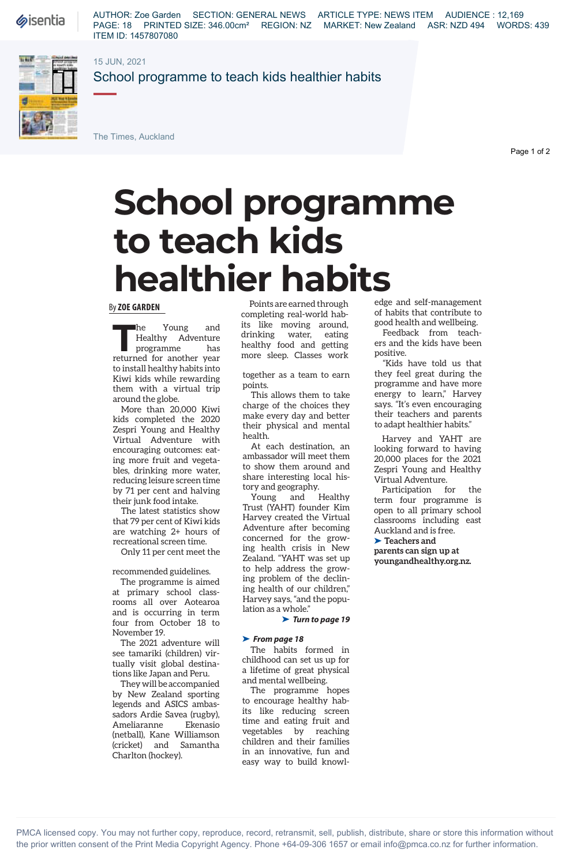**Sisentia** 

AUTHOR: Zoe Garden SECTION: GENERAL NEWS ARTICLE TYPE: NEWS ITEM AUDIENCE : 12,169 PAGE: 18 PRINTED SIZE: 346.00cm<sup>2</sup> REGION: NZ MARKET: New Zealand ASR: NZD 494 WORDS: 439 ITEM ID: 1457807080

### 15 JUN, 2021



School programme to teach kids healthier habits

The Times, Auckland

Page 1 of 2

# **School programme to teach kids healthier habits**

#### By **ZOE GARDEN**

**The Young and<br>
Healthy Adventure**<br>
programme has<br> **The Young Action** Healthy Adventure programme has returned for another year to install healthy habits into Kiwi kids while rewarding them with a virtual trip around the globe.

More than 20,000 Kiwi kids completed the 2020 Zespri Young and Healthy Virtual Adventure with encouraging outcomes: eating more fruit and vegetables, drinking more water, reducing leisure screen time by 71 per cent and halving their junk food intake.

The latest statistics show that 79 per cent of Kiwi kids are watching 2+ hours of recreational screen time.

Only 11 per cent meet the

recommended guidelines.

The programme is aimed at primary school classrooms all over Aotearoa and is occurring in term four from October 18 to November 19.

The 2021 adventure will see tamariki (children) virtually visit global destinations like Japan and Peru.

They will be accompanied by New Zealand sporting legends and ASICS ambassadors Ardie Savea (rugby), Ameliaranne Ekenasio (netball), Kane Williamson (cricket) and Samantha Charlton (hockey).

Points are earned through completing real-world habits like moving around, drinking water, eating healthy food and getting more sleep. Classes work

together as a team to earn points.

This allows them to take charge of the choices they make every day and better their physical and mental health.

At each destination, an ambassador will meet them to show them around and share interesting local history and geography.

Young and Healthy Trust (YAHT) founder Kim Harvey created the Virtual Adventure after becoming concerned for the growing health crisis in New Zealand. "YAHT was set up to help address the growing problem of the declining health of our children," Harvey says, "and the population as a whole."

➤ *Turn to page 19*

#### ➤ *From page 18*

The habits formed in childhood can set us up for a lifetime of great physical and mental wellbeing.

The programme hopes to encourage healthy habits like reducing screen time and eating fruit and vegetables by reaching children and their families in an innovative, fun and easy way to build knowl-

edge and self-management of habits that contribute to good health and wellbeing.

Feedback from teachers and the kids have been positive.

"Kids have told us that they feel great during the programme and have more energy to learn," Harvey says. "It's even encouraging their teachers and parents to adapt healthier habits."

Harvey and YAHT are looking forward to having 20,000 places for the 2021 Zespri Young and Healthy Virtual Adventure.

Participation for the term four programme is open to all primary school classrooms including east Auckland and is free.

➤ **Teachers and parents can sign up at youngandhealthy.org.nz.**